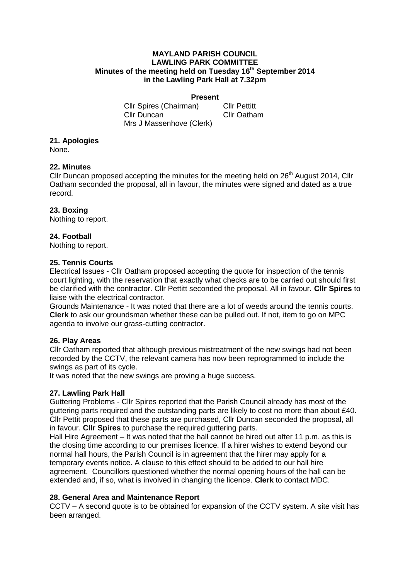#### **MAYLAND PARISH COUNCIL LAWLING PARK COMMITTEE Minutes of the meeting held on Tuesday 16 th September 2014 in the Lawling Park Hall at 7.32pm**

#### **Present**

Cllr Spires (Chairman) Cllr Pettitt Cllr Duncan Cllr Oatham Mrs J Massenhove (Clerk)

# **21. Apologies**

None.

### **22. Minutes**

Cllr Duncan proposed accepting the minutes for the meeting held on  $26<sup>th</sup>$  August 2014, Cllr Oatham seconded the proposal, all in favour, the minutes were signed and dated as a true record.

# **23. Boxing**

Nothing to report.

# **24. Football**

Nothing to report.

### **25. Tennis Courts**

Electrical Issues - Cllr Oatham proposed accepting the quote for inspection of the tennis court lighting, with the reservation that exactly what checks are to be carried out should first be clarified with the contractor. Cllr Pettitt seconded the proposal. All in favour. **Cllr Spires** to liaise with the electrical contractor.

Grounds Maintenance - It was noted that there are a lot of weeds around the tennis courts. **Clerk** to ask our groundsman whether these can be pulled out. If not, item to go on MPC agenda to involve our grass-cutting contractor.

### **26. Play Areas**

Cllr Oatham reported that although previous mistreatment of the new swings had not been recorded by the CCTV, the relevant camera has now been reprogrammed to include the swings as part of its cycle.

It was noted that the new swings are proving a huge success.

### **27. Lawling Park Hall**

Guttering Problems - Cllr Spires reported that the Parish Council already has most of the guttering parts required and the outstanding parts are likely to cost no more than about £40. Cllr Pettit proposed that these parts are purchased, Cllr Duncan seconded the proposal, all in favour. **Cllr Spires** to purchase the required guttering parts.

Hall Hire Agreement – It was noted that the hall cannot be hired out after 11 p.m. as this is the closing time according to our premises licence. If a hirer wishes to extend beyond our normal hall hours, the Parish Council is in agreement that the hirer may apply for a temporary events notice. A clause to this effect should to be added to our hall hire agreement. Councillors questioned whether the normal opening hours of the hall can be extended and, if so, what is involved in changing the licence. **Clerk** to contact MDC.

### **28. General Area and Maintenance Report**

CCTV – A second quote is to be obtained for expansion of the CCTV system. A site visit has been arranged.